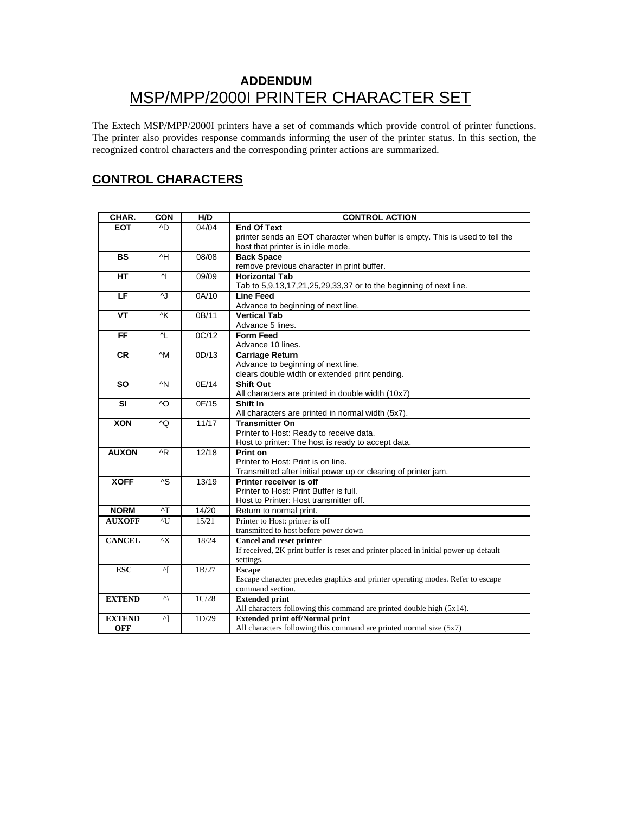# **ADDENDUM**  MSP/MPP/2000I PRINTER CHARACTER SET

The Extech MSP/MPP/2000I printers have a set of commands which provide control of printer functions. The printer also provides response commands informing the user of the printer status. In this section, the recognized control characters and the corresponding printer actions are summarized.

## **CONTROL CHARACTERS**

| CHAR.         | <b>CON</b>     | H/D   | <b>CONTROL ACTION</b>                                                                |  |
|---------------|----------------|-------|--------------------------------------------------------------------------------------|--|
| <b>EOT</b>    | ^D             | 04/04 | End Of Text                                                                          |  |
|               |                |       | printer sends an EOT character when buffer is empty. This is used to tell the        |  |
|               |                |       | host that printer is in idle mode.                                                   |  |
| <b>BS</b>     | ^H             | 08/08 | <b>Back Space</b>                                                                    |  |
|               |                |       | remove previous character in print buffer.                                           |  |
| <b>HT</b>     | $\mathsf{N}$   | 09/09 | <b>Horizontal Tab</b>                                                                |  |
|               |                |       | Tab to 5,9,13,17,21,25,29,33,37 or to the beginning of next line.                    |  |
| E             | $\overline{A}$ | 0A/10 | <b>Line Feed</b>                                                                     |  |
|               |                |       | Advance to beginning of next line.                                                   |  |
| <b>VT</b>     | ^K             | 0B/11 | <b>Vertical Tab</b>                                                                  |  |
|               |                |       | Advance 5 lines.                                                                     |  |
| <b>FF</b>     | 시              | OC/12 | <b>Form Feed</b>                                                                     |  |
|               |                |       | Advance 10 lines.                                                                    |  |
| <b>CR</b>     | $\wedge$ M     | OD/13 | <b>Carriage Return</b>                                                               |  |
|               |                |       | Advance to beginning of next line.                                                   |  |
|               |                |       | clears double width or extended print pending.                                       |  |
| <b>SO</b>     | $\wedge N$     | 0E/14 | <b>Shift Out</b>                                                                     |  |
|               |                |       | All characters are printed in double width (10x7)                                    |  |
| <b>SI</b>     | $\wedge$ O     | 0F/15 | Shift In                                                                             |  |
|               |                |       | All characters are printed in normal width (5x7).                                    |  |
| <b>XON</b>    | ^Q             | 11/17 | <b>Transmitter On</b>                                                                |  |
|               |                |       | Printer to Host: Ready to receive data.                                              |  |
|               |                |       | Host to printer: The host is ready to accept data.                                   |  |
| <b>AUXON</b>  | ^R             | 12/18 | Print on                                                                             |  |
|               |                |       | Printer to Host: Print is on line.                                                   |  |
|               |                |       | Transmitted after initial power up or clearing of printer jam.                       |  |
| <b>XOFF</b>   | $\overline{S}$ | 13/19 | Printer receiver is off                                                              |  |
|               |                |       | Printer to Host: Print Buffer is full.                                               |  |
|               |                |       | Host to Printer: Host transmitter off.                                               |  |
| <b>NORM</b>   | $\overline{1}$ | 14/20 | Return to normal print.                                                              |  |
| <b>AUXOFF</b> | $\overline{1}$ | 15/21 | Printer to Host: printer is off                                                      |  |
|               |                |       | transmitted to host before power down                                                |  |
| <b>CANCEL</b> | $^{\wedge}X$   | 18/24 | <b>Cancel and reset printer</b>                                                      |  |
|               |                |       | If received, 2K print buffer is reset and printer placed in initial power-up default |  |
|               |                |       | settings.                                                                            |  |
| <b>ESC</b>    | ^[             | 1B/27 | <b>Escape</b>                                                                        |  |
|               |                |       | Escape character precedes graphics and printer operating modes. Refer to escape      |  |
|               |                | 1C/28 | command section.<br><b>Extended print</b>                                            |  |
| <b>EXTEND</b> | $\vee$         |       |                                                                                      |  |
|               |                |       | All characters following this command are printed double high (5x14).                |  |
| <b>EXTEND</b> | ^]             | 1D/29 | <b>Extended print off/Normal print</b>                                               |  |
| <b>OFF</b>    |                |       | All characters following this command are printed normal size (5x7)                  |  |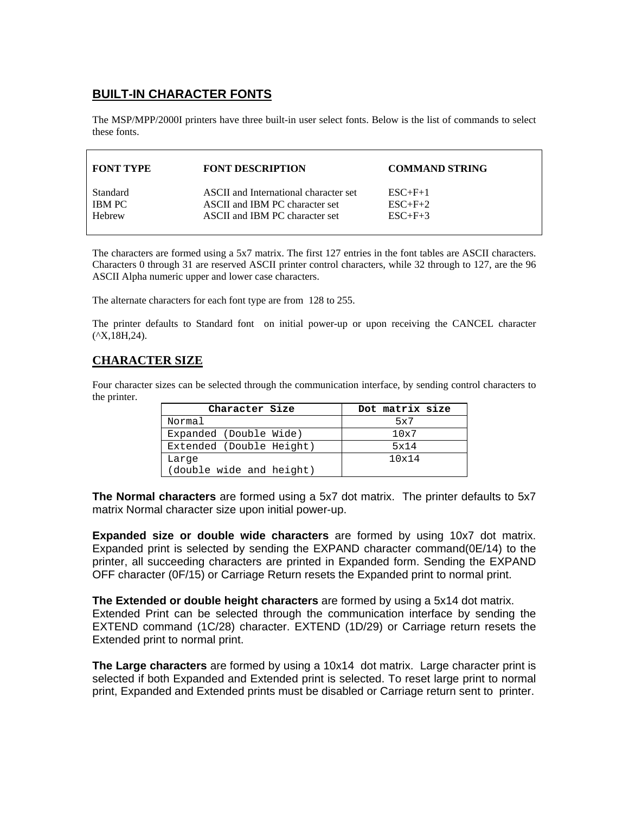## **BUILT-IN CHARACTER FONTS**

The MSP/MPP/2000I printers have three built-in user select fonts. Below is the list of commands to select these fonts.

| <b>FONT TYPE</b> | <b>FONT DESCRIPTION</b>               | <b>COMMAND STRING</b> |
|------------------|---------------------------------------|-----------------------|
| <b>Standard</b>  | ASCII and International character set | $ESC+F+1$             |
| IBM PC           | ASCII and IBM PC character set        | $ESC+F+2$             |
| Hebrew           | ASCII and IBM PC character set        | $ESC+F+3$             |

The characters are formed using a 5x7 matrix. The first 127 entries in the font tables are ASCII characters. Characters 0 through 31 are reserved ASCII printer control characters, while 32 through to 127, are the 96 ASCII Alpha numeric upper and lower case characters.

The alternate characters for each font type are from 128 to 255.

The printer defaults to Standard font on initial power-up or upon receiving the CANCEL character  $(X,18H,24)$ .

### **CHARACTER SIZE**

Four character sizes can be selected through the communication interface, by sending control characters to the printer.

| Character Size           | Dot matrix size |
|--------------------------|-----------------|
| Normal                   | 5x7             |
| Expanded (Double Wide)   | 10x7            |
| Extended (Double Height) | 5x14            |
| Large                    | 10x14           |
| (double wide and height) |                 |

**The Normal characters** are formed using a 5x7 dot matrix. The printer defaults to 5x7 matrix Normal character size upon initial power-up.

**Expanded size or double wide characters** are formed by using 10x7 dot matrix. Expanded print is selected by sending the EXPAND character command(0E/14) to the printer, all succeeding characters are printed in Expanded form. Sending the EXPAND OFF character (0F/15) or Carriage Return resets the Expanded print to normal print.

**The Extended or double height characters** are formed by using a 5x14 dot matrix. Extended Print can be selected through the communication interface by sending the EXTEND command (1C/28) character. EXTEND (1D/29) or Carriage return resets the Extended print to normal print.

**The Large characters** are formed by using a 10x14 dot matrix. Large character print is selected if both Expanded and Extended print is selected. To reset large print to normal print, Expanded and Extended prints must be disabled or Carriage return sent to printer.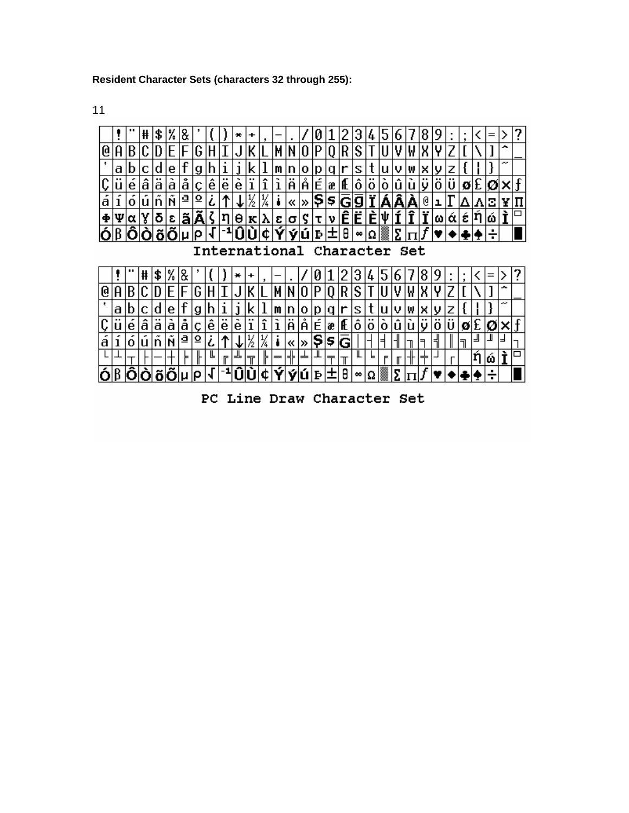#### **Resident Character Sets (characters 32 through 255):**

╟║╚

 $|b|$ 

|正

-40D

 $\mathbb{F}$ 

11

디工

 $|+\,|+\,|$ 

 $6\beta$  $\delta$  $\delta$  $\delta$  $\beta$  $\mu$ 

 $\mathbb {H}$ 

 $\mathsf{F}$ 



PC Line Draw Character Set

L

 $\theta$ |∞|Ω

Iт

 $\overline{\top}$ 

圧

L

F

 $\mathbb{F}$ ⇈

lΣ

П

v ٠  $|\check{\mathfrak{a}}|$  أ

ıή

 $\Box$ 

⊪

lÝ|ý∣ú|Þ

╠

l¢.

l=

 $\overline{\mathbb{T}}$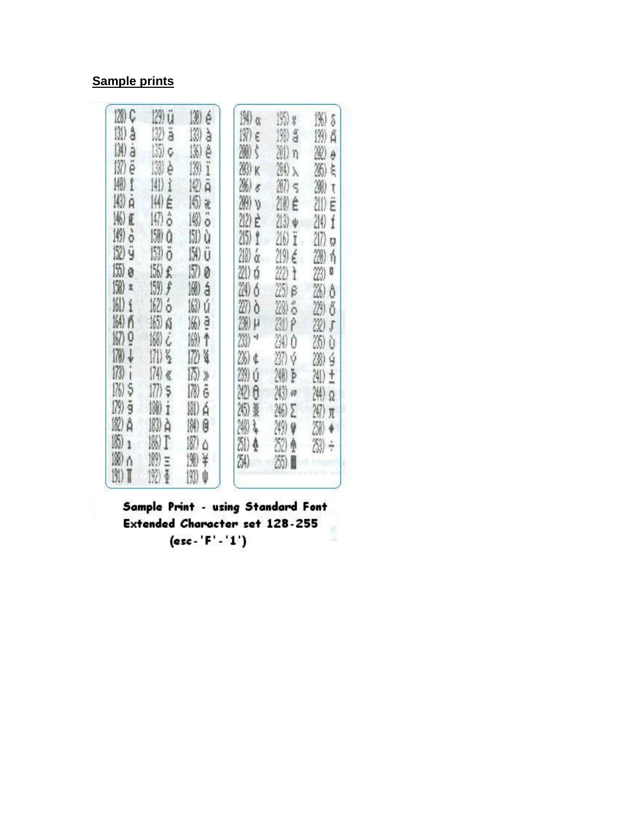# **Sample prints**

| 128) Ç<br>131) å<br>(M)<br>ä<br>III) ë<br>图1<br>K) à<br>146) Æ<br><b>例う</b><br>152) ÿ<br>155) ø<br>(9) x<br>$\left \frac{1}{2}\right $<br>164) PS<br>$\left \frac{1}{2}\right\rangle$ $\frac{0}{2}$<br>$\ket{70}$<br>$\downarrow$<br>(73)<br>ï<br>176)5<br>$\ket{79}$ g<br>182) A<br> 6):<br>$188$ ) $\land$<br>191) T | 129) ü<br>132) ä<br>[35] C<br>138) è<br>[4]) <u>î</u><br>14) É<br>147) ô<br>150) Q<br>(53) ö<br>156) 全<br>$159)$ $f$<br>腳る<br>16506<br>働く<br>朋多<br>$(74)$ «<br>$(77)$ s<br>(刚 i<br>网页<br>186) T<br>(例) =<br>1921 亜 | 30<br>é<br>13)<br>à<br>136)<br>ê<br>139)<br>Ï<br>12)<br>Ä<br> 6)<br>瓷<br> 柳<br>ő<br>151) ù<br>154) Ü<br>$(57)$ 0<br>1例 á<br>163) ú<br>[66) a<br>(例)个<br>172) 每<br>$17)$ »<br>178) 已<br>181) á<br>(辨) 因<br>187)<br>Δ<br>190)<br>¥<br>193)<br>ψ | M) a<br>197) E<br>39) \$<br>203) K<br>36) 8<br>WW<br>212) E<br>215) f<br>218) ά<br>21) ó<br>24) 6<br>27) ò<br>239) pr<br>23)<br>26) ¢<br>29) ú<br>242) <del>O</del><br>245) 篆<br>243)<br>ş.<br>80 ≬<br>24) | [H) y<br>190 S<br>M) n<br>204) X<br>207) S<br>210) Ê<br>$213) +$<br>216) Ï<br>219) ∉<br>222) <del>h</del><br>25) e<br>28) る<br>20P<br>290 O<br>237) 章<br>200 ト<br>2(3) or<br>246) E<br>249) @<br>32)<br>疊<br>35) I | 136) 5<br>199) A<br>20<br>ò<br>26) と<br>20)<br>Ţ<br>200<br>Ε<br>214)<br>f<br>217)<br>ŋ<br>280 h<br>23)<br>O<br>26) ô<br>29) ő<br>20)<br>$\mathfrak{f}$<br>(35)<br>Ù<br>28) ý<br>24) ±<br>24) Ω<br>$247)$ $\pi$<br>20)<br>23) ÷ |  |
|------------------------------------------------------------------------------------------------------------------------------------------------------------------------------------------------------------------------------------------------------------------------------------------------------------------------|--------------------------------------------------------------------------------------------------------------------------------------------------------------------------------------------------------------------|-----------------------------------------------------------------------------------------------------------------------------------------------------------------------------------------------------------------------------------------------|------------------------------------------------------------------------------------------------------------------------------------------------------------------------------------------------------------|--------------------------------------------------------------------------------------------------------------------------------------------------------------------------------------------------------------------|--------------------------------------------------------------------------------------------------------------------------------------------------------------------------------------------------------------------------------|--|
|------------------------------------------------------------------------------------------------------------------------------------------------------------------------------------------------------------------------------------------------------------------------------------------------------------------------|--------------------------------------------------------------------------------------------------------------------------------------------------------------------------------------------------------------------|-----------------------------------------------------------------------------------------------------------------------------------------------------------------------------------------------------------------------------------------------|------------------------------------------------------------------------------------------------------------------------------------------------------------------------------------------------------------|--------------------------------------------------------------------------------------------------------------------------------------------------------------------------------------------------------------------|--------------------------------------------------------------------------------------------------------------------------------------------------------------------------------------------------------------------------------|--|

Sample Print - using Standard Font Extended Character set 128-255  $(esc - 'F' - '1')$ ÷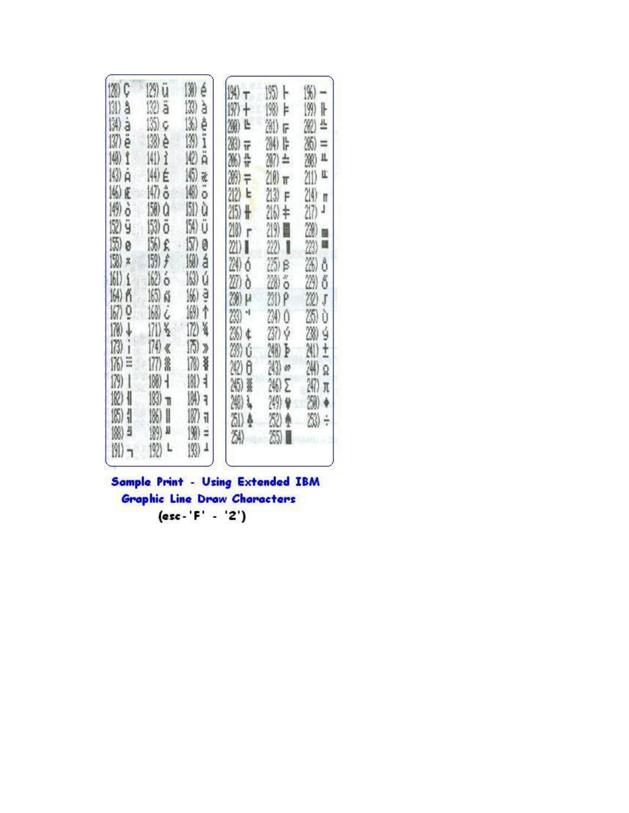| ü<br>(20)<br>13)<br>é<br>129)<br>133)<br>132) ä<br>à<br>131)<br>å<br>ä<br>136)<br>135)<br>ê<br>(M)<br>Ç<br>ë<br>(3)<br>138) è<br>137)<br>ï<br>10)<br>(4)<br>(41) ?<br>$\mathbf{f}$<br>Ä<br>圈<br>143) à<br>14) É<br>X<br>147) ô<br>圈<br>146) Æ<br>ō<br>[5])<br>$\ket{\{4\}}$<br>150)<br>ù<br>û<br>ò<br>ö<br>132) ÿ<br>(54)<br>153)<br>Ü<br>(55)<br>156) £<br>157)<br>ø<br>Ø<br>150)<br>[59] ヂ<br>19)<br>á<br>X<br>163)<br>ú<br>161)<br>162) ó<br>$\mathbf i$<br>a<br>165) ស<br>[66]<br>164) PS<br>167) Q<br>168)<br>169)<br>↑<br>Ć<br>170)<br>172)<br>ă<br>↓<br> 7  差<br>$\binom{73}{2}$<br>i<br>$174$ $\,$<br>175)<br>Þ<br>m<br>178)<br>¥<br>176)<br>177)<br>鲨<br>181)<br>$\binom{n}{2}$<br>$\mathbb{I}$<br>180)<br>$\frac{1}{2}$<br>ł<br>102)<br>183)<br>$\ket{M}$<br>╢<br>٦<br>ı<br>165)<br>187)<br>186)<br>1<br>I<br>1<br>U<br>188)<br>ä<br>190)<br>189)<br>x<br>193)<br>191)<br>(兜)<br>L<br>1 | $\ket{9}$<br>197)<br>$\ddagger$<br>200<br>Ŀ<br>28)<br>īF<br>유규<br>26)<br>39)<br>F<br>212)<br>$\mathbf{r}$<br>$25 +$<br>218)<br>ŕ<br>21) 1<br>24)<br>ó<br>27)<br>ò<br>238)<br>μ<br>23)<br>۹<br>2%) ¢<br>28)<br>Ú<br>242)<br>$\theta$<br>简)<br>š<br>248)<br>Ļ<br>31)<br>Ą<br>24) | 195)<br>ŀ<br>198)<br>Þ<br>201)<br>F<br>284)<br>ŀ<br>207)<br>÷.<br>210)<br>$\mathbb T$<br>213)<br>F<br>$2161 +$<br>219) 圓<br>22)<br>Л<br>25) β<br>28)<br>ő<br>231) P<br>24)<br>0<br>237) Ý<br>240) B<br>243)<br>47<br>246) E<br>249) №<br>82)<br>35) | 1%)<br>╟<br>$\ket{9}$<br>4<br>20<br>36)<br>።<br>Щ<br>20)<br>L<br>211)<br>214)<br>Ħ<br>217)<br>J<br>20)<br>膈<br>23)<br>ø<br>26)<br>ô<br>29)<br>δ<br>22)<br>$\mathfrak{f}$<br>25)<br>Ù<br>20)<br>ý<br>241)<br>$\pm$<br>渆<br>Ω<br>247)<br>π<br>20)<br>23)<br>÷ |
|---------------------------------------------------------------------------------------------------------------------------------------------------------------------------------------------------------------------------------------------------------------------------------------------------------------------------------------------------------------------------------------------------------------------------------------------------------------------------------------------------------------------------------------------------------------------------------------------------------------------------------------------------------------------------------------------------------------------------------------------------------------------------------------------------------------------------------------------------------------------------------------------------|--------------------------------------------------------------------------------------------------------------------------------------------------------------------------------------------------------------------------------------------------------------------------------|-----------------------------------------------------------------------------------------------------------------------------------------------------------------------------------------------------------------------------------------------------|-------------------------------------------------------------------------------------------------------------------------------------------------------------------------------------------------------------------------------------------------------------|
|---------------------------------------------------------------------------------------------------------------------------------------------------------------------------------------------------------------------------------------------------------------------------------------------------------------------------------------------------------------------------------------------------------------------------------------------------------------------------------------------------------------------------------------------------------------------------------------------------------------------------------------------------------------------------------------------------------------------------------------------------------------------------------------------------------------------------------------------------------------------------------------------------|--------------------------------------------------------------------------------------------------------------------------------------------------------------------------------------------------------------------------------------------------------------------------------|-----------------------------------------------------------------------------------------------------------------------------------------------------------------------------------------------------------------------------------------------------|-------------------------------------------------------------------------------------------------------------------------------------------------------------------------------------------------------------------------------------------------------------|

Sample Print - Using Extended IBM Graphic Line Draw Characters  $(esc - 'F' - '2')$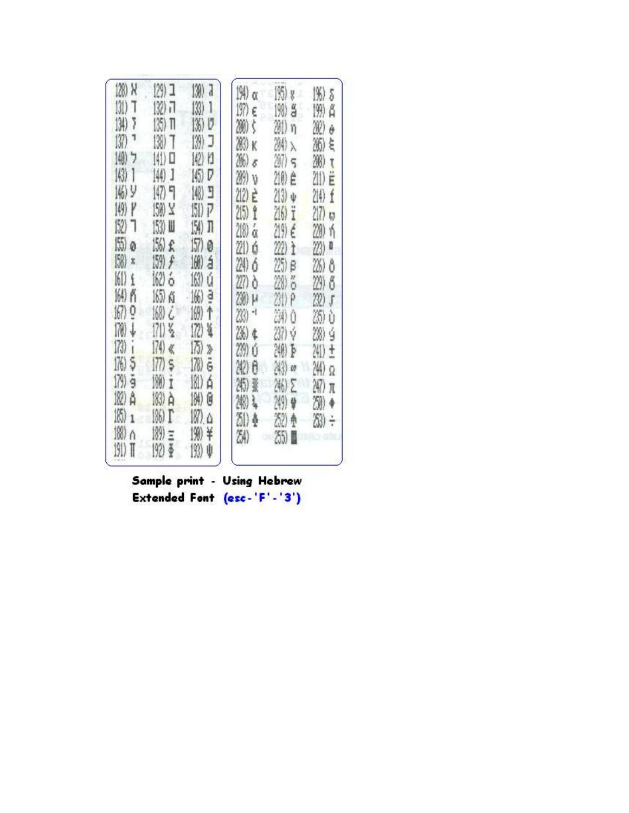| 128) X<br>131)<br>T<br>(34)<br>7<br>137)<br> 働<br>7<br>143)<br>1<br> 働り<br>149) P<br>152)<br>٦<br>$(5)$ o<br>$(58)$ x<br>161)<br>$\mathbf i$<br>164) PS<br>167) 0<br>170)<br>↓<br>$\binom{73}{1}$<br>$\mathbf{I}$<br>网5<br>$(79)$ g<br>182) A<br>16)<br>$\mathbf{1}$<br>188)<br>ň<br>191) T | 129) I<br>132) iT<br>135) TI<br>138)<br>1<br>$ \langle   \rangle $<br>(4) J<br>147) 日<br>150) Y<br>153) Ⅲ<br>[56] £<br>159) £<br>162) ó<br>165) 商<br>168) č<br>171) š<br>$(74)$ $\ll$<br>$(77)$ s<br>180) i<br>(8) A<br>186) T<br>捌<br>Ξ<br>192) 亜 | 130)<br>J<br>(3)<br>1<br>$\ket{3}$<br>v<br>13)<br>J<br>14) II<br>145) D<br>图 3<br>15D P<br>154) JT<br>157) ø<br>160)<br>á<br>163) ú<br>166)<br>ğ<br>169)<br>↑<br>172) 崔<br>175)<br>ď<br>(78)<br>Ğ<br>I8D á<br>184)<br>G<br>$187)$ . $\Delta$<br>190<br>¥<br>193)<br>ψ | (M)<br>Ō,<br>197)<br>Ë<br>200)<br>ţ<br>203) K<br>26)<br>e.<br>20)<br>V<br>212) E<br>$2(5)$ $2$<br>ά<br>218)<br>21) ó<br>24)<br>ó<br>227) ò<br>200 H<br>23)<br>Zb) ¢<br>239)<br>Ú<br>242)<br>0<br>215)<br>ž<br>20)<br>髯<br>31)<br>ş<br>24) | 195) y<br>198) S<br>81) n<br>溯入<br>207<br>210) ê<br>213) +<br>216) i<br>219) É<br>22) t<br>$(25)$ $\beta$<br>20<br>ő<br>29) P<br>29) O<br>20 Ý<br>細長<br>(43) en<br>246) E<br>249) 曾<br>30<br>负<br>35) | 136)<br>5<br>199)<br>ű<br>28C)<br>ô<br>36)<br>ξ<br>200)<br>$\overline{\mathfrak{k}}$<br>211)<br>E<br>214)<br>Í<br>217)<br>IJ<br>20)<br>ή<br>Ū<br>23)<br>26)<br>ô<br>29)<br>ő<br>22)<br>ſ<br>25)<br>Ù<br>28)<br>ý<br>241)<br>ŧ<br>24)<br>ğ<br>247)<br>π<br>20)<br>80) |
|---------------------------------------------------------------------------------------------------------------------------------------------------------------------------------------------------------------------------------------------------------------------------------------------|----------------------------------------------------------------------------------------------------------------------------------------------------------------------------------------------------------------------------------------------------|-----------------------------------------------------------------------------------------------------------------------------------------------------------------------------------------------------------------------------------------------------------------------|-------------------------------------------------------------------------------------------------------------------------------------------------------------------------------------------------------------------------------------------|-------------------------------------------------------------------------------------------------------------------------------------------------------------------------------------------------------|----------------------------------------------------------------------------------------------------------------------------------------------------------------------------------------------------------------------------------------------------------------------|
|---------------------------------------------------------------------------------------------------------------------------------------------------------------------------------------------------------------------------------------------------------------------------------------------|----------------------------------------------------------------------------------------------------------------------------------------------------------------------------------------------------------------------------------------------------|-----------------------------------------------------------------------------------------------------------------------------------------------------------------------------------------------------------------------------------------------------------------------|-------------------------------------------------------------------------------------------------------------------------------------------------------------------------------------------------------------------------------------------|-------------------------------------------------------------------------------------------------------------------------------------------------------------------------------------------------------|----------------------------------------------------------------------------------------------------------------------------------------------------------------------------------------------------------------------------------------------------------------------|

Sample print - Using Hebrew Extended Font (esc-'F'-'3')